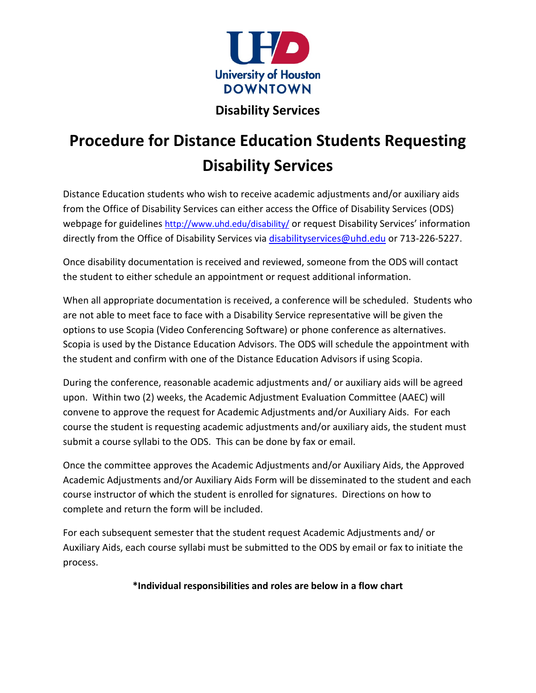

# **Disability Services**

# **Procedure for Distance Education Students Requesting Disability Services**

Distance Education students who wish to receive academic adjustments and/or auxiliary aids from the Office of Disability Services can either access the Office of Disability Services (ODS) webpage for guidelines <http://www.uhd.edu/disability/> or request Disability Services' information directly from the Office of Disability Services via [disabilityservices@uhd.edu](mailto:disabilityservices@uhd.edu) or 713-226-5227.

Once disability documentation is received and reviewed, someone from the ODS will contact the student to either schedule an appointment or request additional information.

When all appropriate documentation is received, a conference will be scheduled. Students who are not able to meet face to face with a Disability Service representative will be given the options to use Scopia (Video Conferencing Software) or phone conference as alternatives. Scopia is used by the Distance Education Advisors. The ODS will schedule the appointment with the student and confirm with one of the Distance Education Advisors if using Scopia.

During the conference, reasonable academic adjustments and/ or auxiliary aids will be agreed upon. Within two (2) weeks, the Academic Adjustment Evaluation Committee (AAEC) will convene to approve the request for Academic Adjustments and/or Auxiliary Aids. For each course the student is requesting academic adjustments and/or auxiliary aids, the student must submit a course syllabi to the ODS. This can be done by fax or email.

Once the committee approves the Academic Adjustments and/or Auxiliary Aids, the Approved Academic Adjustments and/or Auxiliary Aids Form will be disseminated to the student and each course instructor of which the student is enrolled for signatures. Directions on how to complete and return the form will be included.

For each subsequent semester that the student request Academic Adjustments and/ or Auxiliary Aids, each course syllabi must be submitted to the ODS by email or fax to initiate the process.

**\*Individual responsibilities and roles are below in a flow chart**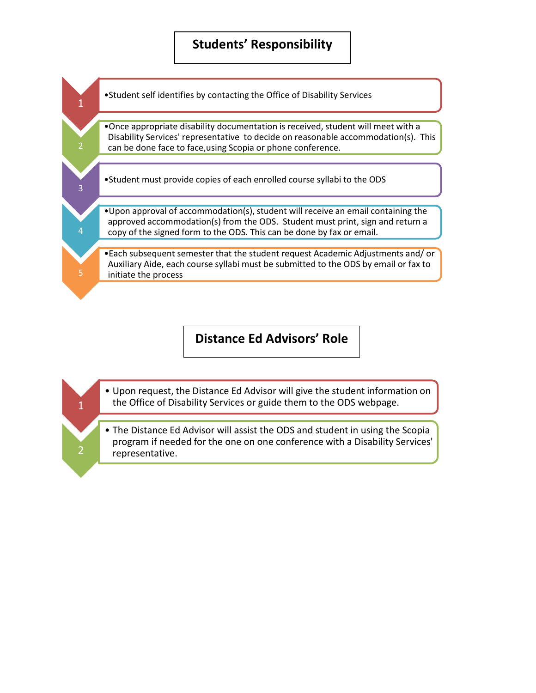## **Students' Responsibility**



### **Distance Ed Advisors' Role**

• Upon request, the Distance Ed Advisor will give the student information on the Office of Disability Services or guide them to the ODS webpage.

1

2

• The Distance Ed Advisor will assist the ODS and student in using the Scopia program if needed for the one on one conference with a Disability Services' representative.